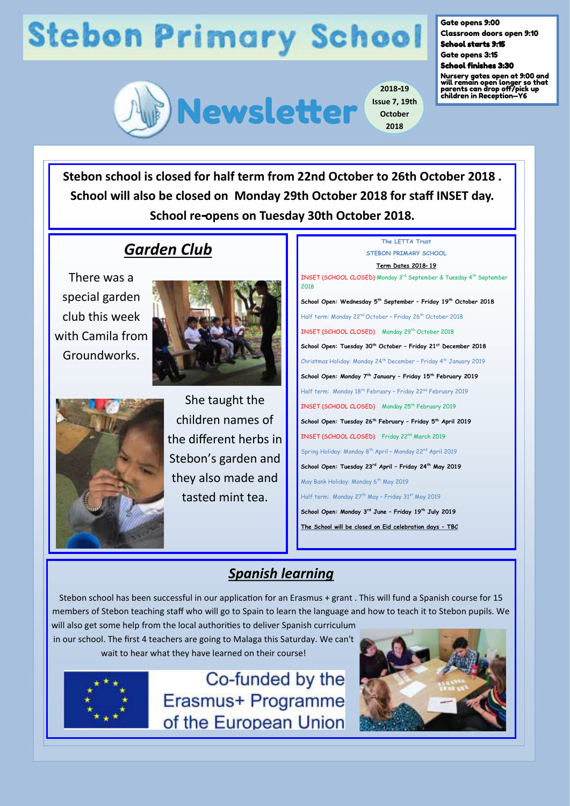## **Stebon Primary School**



**2018-19 Issue 7, 19th October 2018**

Gate opens 9:00 Classroom doors open 9:10

School starts 9:15 Gate opens 3:15

School finishes 3:30

Nursery gates open at 9:00 and will remain open longer so that parents can drop off/pick up children in Reception—Y6

**Stebon school is closed for half term from 22nd October to 26th October 2018 . School will also be closed on Monday 29th October 2018 for staff INSET day. School re-opens on Tuesday 30th October 2018.**

### *Garden Club*

There was a special garden club this week with Camila from Groundworks.





She taught the children names of the different herbs in Stebon's garden and they also made and tasted mint tea.

| The LETTA Trust                                                                           |
|-------------------------------------------------------------------------------------------|
| STEBON PRIMARY SCHOOL                                                                     |
| <u>Term Dates 2018-19</u>                                                                 |
| INSET (SCHOOL CLOSED) Monday 3rd September & Tuesday 4 <sup>th</sup> September<br>2018    |
| School Open: Wednesday 5 <sup>th</sup> September - Friday 19 <sup>th</sup> October 2018   |
| Half term: Monday 22 <sup>nd</sup> October - Friday 26 <sup>th</sup> October 2018         |
| INSET (SCHOOL CLOSED) Monday 29 <sup>th</sup> October 2018                                |
| School Open: Tuesday 30 <sup>th</sup> October - Friday 21 <sup>st</sup> December 2018     |
| Christmas Holiday: Monday 24 <sup>th</sup> December - Friday 4 <sup>th</sup> January 2019 |
| School Open: Monday 7 <sup>th</sup> January - Friday 15 <sup>th</sup> February 2019       |
| Half term: Monday 18 <sup>th</sup> February - Friday 22 <sup>nd</sup> February 2019       |
| INSET (SCHOOL CLOSED) Monday 25 <sup>th</sup> February 2019                               |
| School Open: Tuesday 26 <sup>th</sup> February - Friday 5 <sup>th</sup> April 2019        |
| INSET (SCHOOL CLOSED) Friday 22 <sup>nd</sup> March 2019                                  |
| Spring Holiday: Monday 8 <sup>th</sup> April - Monday 22 <sup>nd</sup> April 2019         |
| School Open: Tuesday 23rd April - Friday 24th May 2019                                    |
| May Bank Holiday: Monday 6 <sup>th</sup> May 2019                                         |
| Half term: Monday 27 <sup>th</sup> May - Friday 31 <sup>st</sup> May 2019                 |
| School Open: Monday 3rd June - Friday 19th July 2019                                      |
| The School will be closed on Eid celebration days - TBC                                   |

### *Spanish learning*

Stebon school has been successful in our application for an Erasmus + grant . This will fund a Spanish course for 15 members of Stebon teaching staff who will go to Spain to learn the language and how to teach it to Stebon pupils. We

will also get some help from the local authorities to deliver Spanish curriculum in our school. The first 4 teachers are going to Malaga this Saturday. We can't wait to hear what they have learned on their course!



Co-funded by the Erasmus+ Programme of the European Union